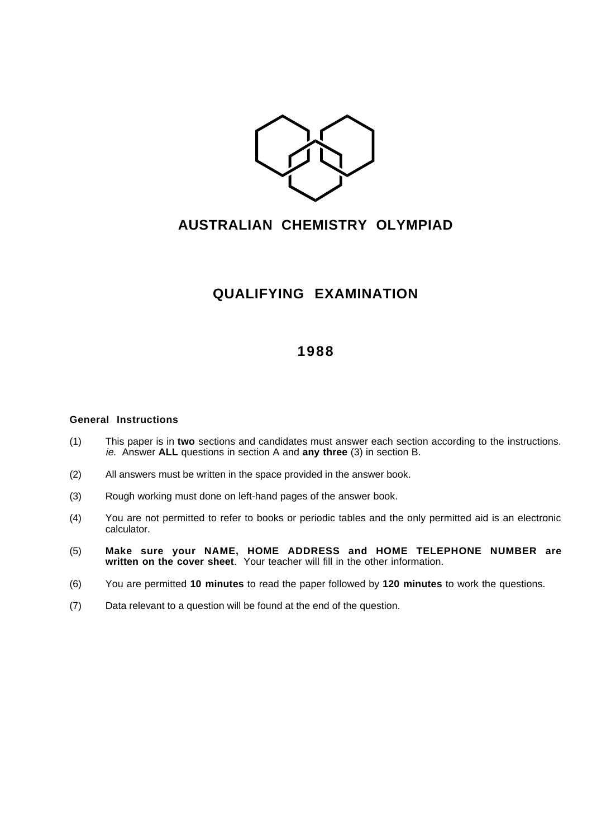

## **AUSTRALIAN CHEMISTRY OLYMPIAD**

## **QUALIFYING EXAMINATION**

## **1988**

## **General Instructions**

- (1) This paper is in **two** sections and candidates must answer each section according to the instructions. ie. Answer **ALL** questions in section A and **any three** (3) in section B.
- (2) All answers must be written in the space provided in the answer book.
- (3) Rough working must done on left-hand pages of the answer book.
- (4) You are not permitted to refer to books or periodic tables and the only permitted aid is an electronic calculator.
- (5) **Make sure your NAME, HOME ADDRESS and HOME TELEPHONE NUMBER are written on the cover sheet**. Your teacher will fill in the other information.
- (6) You are permitted **10 minutes** to read the paper followed by **120 minutes** to work the questions.
- (7) Data relevant to a question will be found at the end of the question.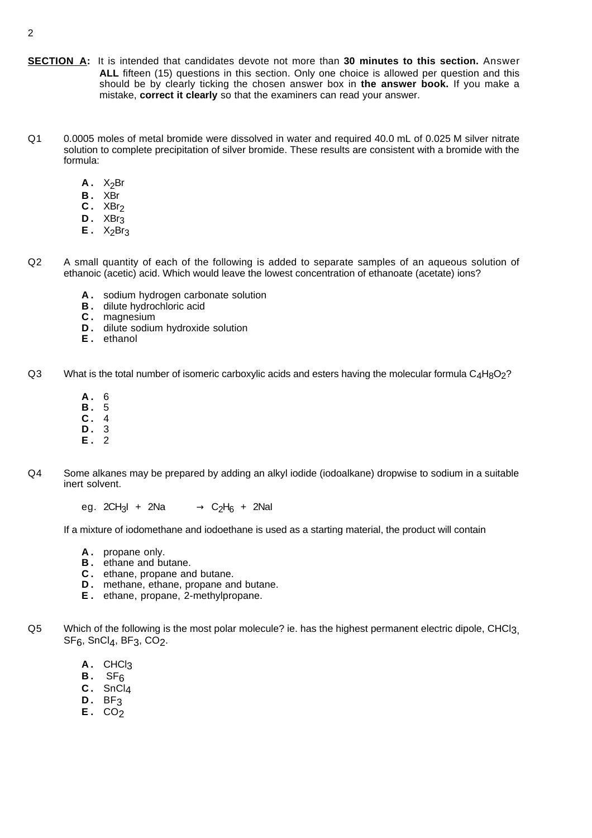- **SECTION A:** It is intended that candidates devote not more than **30 minutes to this section.** Answer **ALL** fifteen (15) questions in this section. Only one choice is allowed per question and this should be by clearly ticking the chosen answer box in **the answer book.** If you make a mistake, **correct it clearly** so that the examiners can read your answer.
- Q1 0.0005 moles of metal bromide were dissolved in water and required 40.0 mL of 0.025 M silver nitrate solution to complete precipitation of silver bromide. These results are consistent with a bromide with the formula:
	- $A. X<sub>2</sub>Br$
	- **B .** XBr
	- **C .** XBr2
	- **D .** XBr3
	- $E$ .  $X_2Br_3$
- Q2 A small quantity of each of the following is added to separate samples of an aqueous solution of ethanoic (acetic) acid. Which would leave the lowest concentration of ethanoate (acetate) ions?
	- **A .** sodium hydrogen carbonate solution
	- **B**. dilute hydrochloric acid
	- **C .** magnesium
	- **D**. dilute sodium hydroxide solution
	- **E .** ethanol
- Q3 What is the total number of isomeric carboxylic acids and esters having the molecular formula  $C_4H_8O_2$ ?
	- **A .** 6
	- **B .** 5
	- **C .** 4 **D .** 3
	- **E .** 2
	-
- Q4 Some alkanes may be prepared by adding an alkyl iodide (iodoalkane) dropwise to sodium in a suitable inert solvent.
	- eg.  $2CH_3I + 2Na \longrightarrow C_2H_6 + 2Nal$

If a mixture of iodomethane and iodoethane is used as a starting material, the product will contain

- **A .** propane only.
- **B .** ethane and butane.
- **C .** ethane, propane and butane.
- **D.** methane, ethane, propane and butane.
- **E .** ethane, propane, 2-methylpropane.
- Q5 Which of the following is the most polar molecule? ie. has the highest permanent electric dipole, CHCl3,  $SF_6$ ,  $SnCl_4$ ,  $BF_3$ ,  $CO_2$ .
	- **A .** CHCl3
	- **B .** SF6
	- **C .** SnCl4
	- **D .** BF3
	- **E .** CO2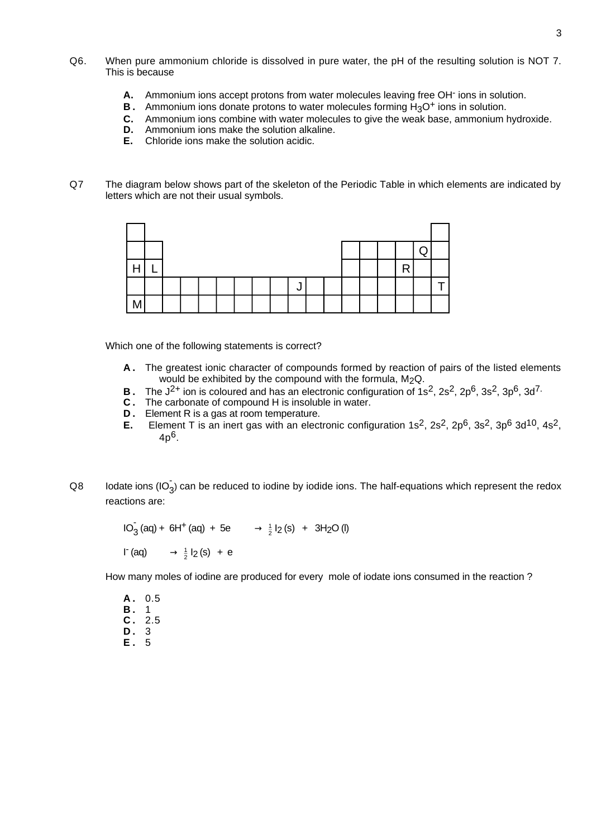- Q6. When pure ammonium chloride is dissolved in pure water, the pH of the resulting solution is NOT 7. This is because
	- A. Ammonium ions accept protons from water molecules leaving free OH<sup>-</sup> ions in solution.
	- **B**. Ammonium ions donate protons to water molecules forming H<sub>3</sub>O<sup>+</sup> ions in solution.<br>**C.** Ammonium ions combine with water molecules to give the weak base, ammonium
	- **C.** Ammonium ions combine with water molecules to give the weak base, ammonium hydroxide.
	- **D.** Ammonium ions make the solution alkaline.<br>**E.** Chloride ions make the solution acidic
	- **E.** Chloride ions make the solution acidic.
- Q7 The diagram below shows part of the skeleton of the Periodic Table in which elements are indicated by letters which are not their usual symbols.



Which one of the following statements is correct?

- **A .** The greatest ionic character of compounds formed by reaction of pairs of the listed elements would be exhibited by the compound with the formula,  $M_2Q$ .
- **B**. The J<sup>2+</sup> ion is coloured and has an electronic configuration of 1s<sup>2</sup>, 2s<sup>2</sup>, 2p<sup>6</sup>, 3s<sup>2</sup>, 3p<sup>6</sup>, 3d<sup>7</sup>.
- **C .** The carbonate of compound H is insoluble in water.
- **D.** Element R is a gas at room temperature.
- **E.** Element T is an inert gas with an electronic configuration 1s<sup>2</sup>, 2s<sup>2</sup>, 2p<sup>6</sup>, 3s<sup>2</sup>, 3p<sup>6</sup> 3d<sup>10</sup>, 4s<sup>2</sup>, 4p6.
- Q8 Iodate ions (IO<sub>3</sub>) can be reduced to iodine by iodide ions. The half-equations which represent the redox reactions are:

 $10_3^{\circ}$  (aq) + 6H<sup>+</sup> (aq) + 5e  $\longrightarrow \frac{1}{2}I_2$  (s) + 3H<sub>2</sub>O (l)  $I^-(aq) \longrightarrow \frac{1}{2}I_2(s) + e$ 

How many moles of iodine are produced for every mole of iodate ions consumed in the reaction ?

**A .** 0.5 **B .** 1 **C .** 2.5 **D .** 3 **E .** 5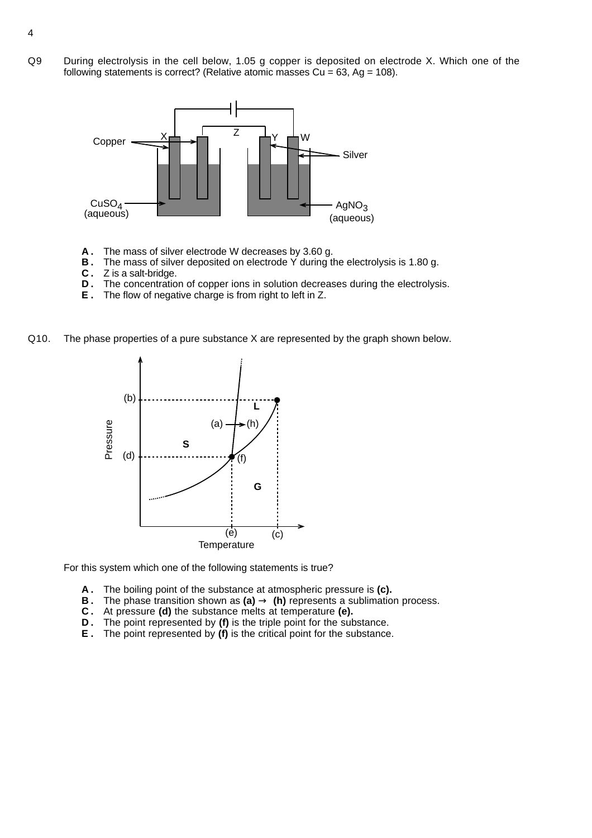Q9 During electrolysis in the cell below, 1.05 g copper is deposited on electrode X. Which one of the following statements is correct? (Relative atomic masses  $Cu = 63$ , Ag = 108).



- **A .** The mass of silver electrode W decreases by 3.60 g.
- **B**. The mass of silver deposited on electrode Y during the electrolysis is 1.80 g.
- **C .** Z is a salt-bridge.
- **D**. The concentration of copper ions in solution decreases during the electrolysis.
- **E .** The flow of negative charge is from right to left in Z.
- Q10. The phase properties of a pure substance X are represented by the graph shown below.



For this system which one of the following statements is true?

- **A .** The boiling point of the substance at atmospheric pressure is **(c).**
- **B**. The phase transition shown as  $(a) \rightarrow (h)$  represents a sublimation process.
- **C .** At pressure **(d)** the substance melts at temperature **(e).**
- **D**. The point represented by (f) is the triple point for the substance.
- **E .** The point represented by **(f)** is the critical point for the substance.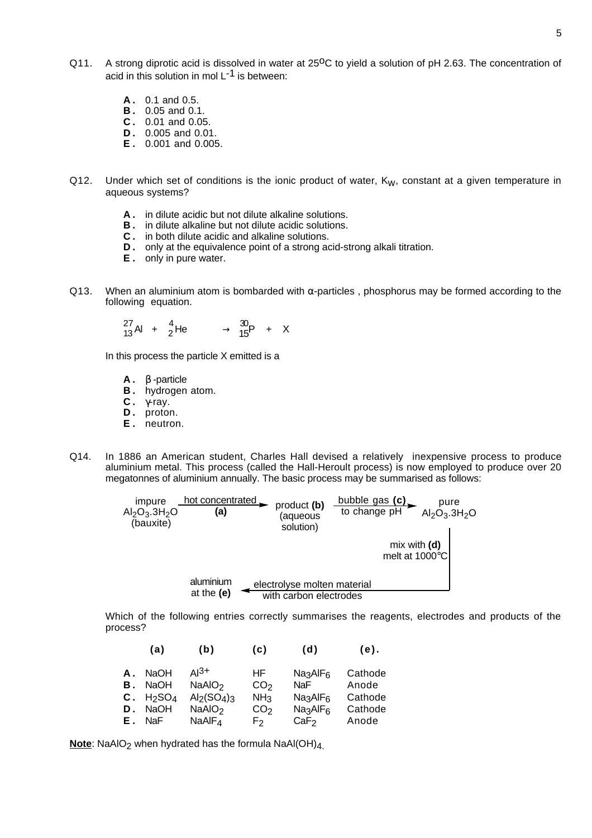- Q11. A strong diprotic acid is dissolved in water at 25<sup>o</sup>C to yield a solution of pH 2.63. The concentration of acid in this solution in mol  $L^{-1}$  is between:
	- **A .** 0.1 and 0.5.
	- **B .** 0.05 and 0.1.
	- **C .** 0.01 and 0.05.
	- **D .** 0.005 and 0.01.
	- **E .** 0.001 and 0.005.
- Q12. Under which set of conditions is the ionic product of water,  $K_W$ , constant at a given temperature in aqueous systems?
	- **A .** in dilute acidic but not dilute alkaline solutions.
	- **B .** in dilute alkaline but not dilute acidic solutions.
	- **C .** in both dilute acidic and alkaline solutions.
	- **D**. only at the equivalence point of a strong acid-strong alkali titration.
	- **E .** only in pure water.
- Q13. When an aluminium atom is bombarded with  $\alpha$ -particles, phosphorus may be formed according to the following equation.

$$
^{27}_{13}Al + ^{4}_{2}He \longrightarrow ^{30}_{15}P + X
$$

In this process the particle X emitted is a

- **A .** β -particle
- **B .** hydrogen atom.
- **C .** γ-ray.
- D. proton.
- **E .** neutron.
- Q14. In 1886 an American student, Charles Hall devised a relatively inexpensive process to produce aluminium metal. This process (called the Hall-Heroult process) is now employed to produce over 20 megatonnes of aluminium annually. The basic process may be summarised as follows:

electrolyse molten material with carbon electrodes aluminium at the **(e)** pure  $\mathsf{Al}_2\mathsf{O}_3.3\mathsf{H}_2\mathsf{O}$ mix with **(d)** melt at 1000°C **hot concentrated**<br> **(a)** product **(b)** bubble gas **(c)**<br>
to change pH (aqueous solution) **(a)** impure  $Al_2O_3.3H_2O$ (bauxite)

Which of the following entries correctly summarises the reagents, electrodes and products of the process?

|                | (a)                                                                            | (b)                                                             | (c)                                                          | (d)                                                                                                             | $(e)$ .                                |
|----------------|--------------------------------------------------------------------------------|-----------------------------------------------------------------|--------------------------------------------------------------|-----------------------------------------------------------------------------------------------------------------|----------------------------------------|
| А.<br>В.<br>D. | <b>NaOH</b><br><b>NaOH</b><br>C. H <sub>2</sub> SO <sub>4</sub><br><b>NaOH</b> | ді3+<br>NaAIO <sub>2</sub><br>$Al2(SO4)3$<br>NaAlO <sub>2</sub> | HF.<br>CO <sub>2</sub><br>NH <sub>3</sub><br>CO <sub>2</sub> | Na <sub>3</sub> AIF <sub>6</sub><br>NaF<br>Na <sub>3</sub> AIF <sub>6</sub><br>Na <sub>3</sub> AIF <sub>6</sub> | Cathode<br>Anode<br>Cathode<br>Cathode |
| Е.             | NaF                                                                            | NaAlF <sub>4</sub>                                              | F <sub>2</sub>                                               | CaF <sub>2</sub>                                                                                                | Anode                                  |

**Note**: NaAlO<sub>2</sub> when hydrated has the formula NaAl(OH)<sub>4.</sub>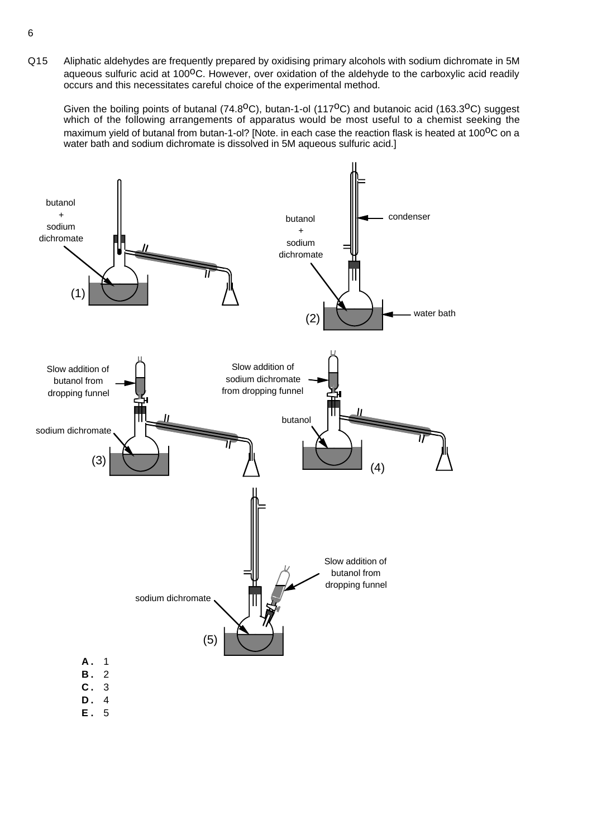Q15 Aliphatic aldehydes are frequently prepared by oxidising primary alcohols with sodium dichromate in 5M aqueous sulfuric acid at 100<sup>o</sup>C. However, over oxidation of the aldehyde to the carboxylic acid readily occurs and this necessitates careful choice of the experimental method.

Given the boiling points of butanal (74.8<sup>o</sup>C), butan-1-ol (117<sup>o</sup>C) and butanoic acid (163.3<sup>o</sup>C) suggest which of the following arrangements of apparatus would be most useful to a chemist seeking the maximum yield of butanal from butan-1-ol? [Note. in each case the reaction flask is heated at 100<sup>o</sup>C on a water bath and sodium dichromate is dissolved in 5M aqueous sulfuric acid.]



**E .** 5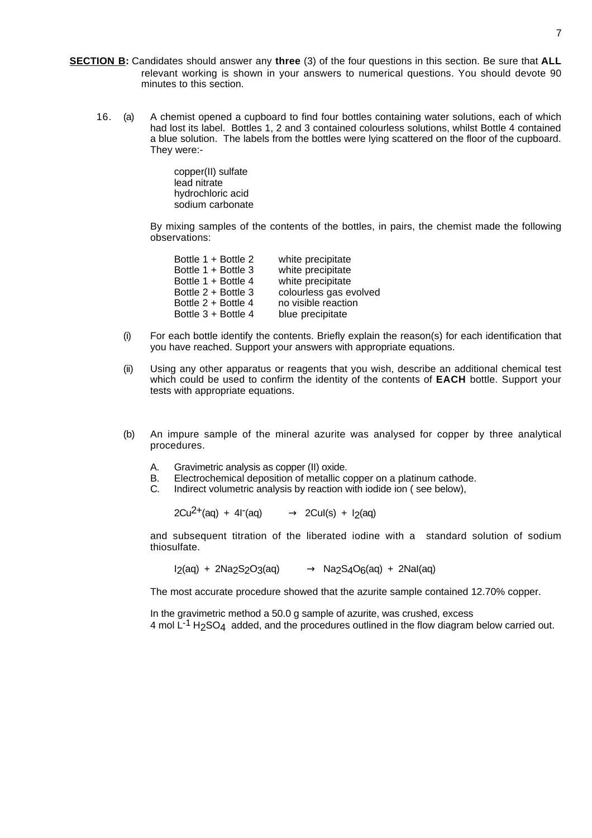- **SECTION B:** Candidates should answer any **three** (3) of the four questions in this section. Be sure that **ALL** relevant working is shown in your answers to numerical questions. You should devote 90 minutes to this section.
	- 16. (a) A chemist opened a cupboard to find four bottles containing water solutions, each of which had lost its label. Bottles 1, 2 and 3 contained colourless solutions, whilst Bottle 4 contained a blue solution. The labels from the bottles were lying scattered on the floor of the cupboard. They were:-

copper(II) sulfate lead nitrate hydrochloric acid sodium carbonate

By mixing samples of the contents of the bottles, in pairs, the chemist made the following observations:

| Bottle 1 + Bottle 2 | white precipitate      |
|---------------------|------------------------|
| Bottle 1 + Bottle 3 | white precipitate      |
| Bottle 1 + Bottle 4 | white precipitate      |
| Bottle 2 + Bottle 3 | colourless gas evolved |
| Bottle 2 + Bottle 4 | no visible reaction    |
| Bottle 3 + Bottle 4 | blue precipitate       |
|                     |                        |

- (i) For each bottle identify the contents. Briefly explain the reason(s) for each identification that you have reached. Support your answers with appropriate equations.
- (ii) Using any other apparatus or reagents that you wish, describe an additional chemical test which could be used to confirm the identity of the contents of **EACH** bottle. Support your tests with appropriate equations.
- (b) An impure sample of the mineral azurite was analysed for copper by three analytical procedures.
	- A. Gravimetric analysis as copper (II) oxide.
	- B. Electrochemical deposition of metallic copper on a platinum cathode.
	- C. Indirect volumetric analysis by reaction with iodide ion ( see below),

 $2Cu^{2+}(aq) + 4I'(aq) \longrightarrow 2CuI(s) + I<sub>2</sub>(aq)$ 

and subsequent titration of the liberated iodine with a standard solution of sodium thiosulfate.

 $I_2(aq) + 2Na_2S_2O_3(aq) \longrightarrow Na_2S_4O_6(aq) + 2Na(aq)$ 

The most accurate procedure showed that the azurite sample contained 12.70% copper.

In the gravimetric method a 50.0 g sample of azurite, was crushed, excess 4 mol  $L<sup>-1</sup>$  H<sub>2</sub>SO<sub>4</sub> added, and the procedures outlined in the flow diagram below carried out.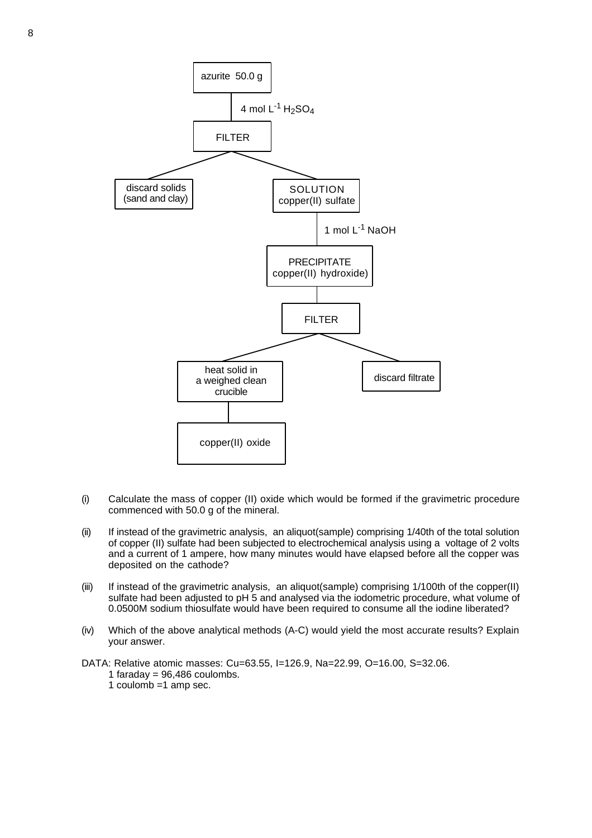

- (i) Calculate the mass of copper (II) oxide which would be formed if the gravimetric procedure commenced with 50.0 g of the mineral.
- (ii) If instead of the gravimetric analysis, an aliquot(sample) comprising 1/40th of the total solution of copper (II) sulfate had been subjected to electrochemical analysis using a voltage of 2 volts and a current of 1 ampere, how many minutes would have elapsed before all the copper was deposited on the cathode?
- (iii) If instead of the gravimetric analysis, an aliquot(sample) comprising 1/100th of the copper(II) sulfate had been adjusted to pH 5 and analysed via the iodometric procedure, what volume of 0.0500M sodium thiosulfate would have been required to consume all the iodine liberated?
- (iv) Which of the above analytical methods (A-C) would yield the most accurate results? Explain your answer.
- DATA: Relative atomic masses: Cu=63.55, I=126.9, Na=22.99, O=16.00, S=32.06.
	- 1 faraday =  $96,486$  coulombs.
	- 1 coulomb =1 amp sec.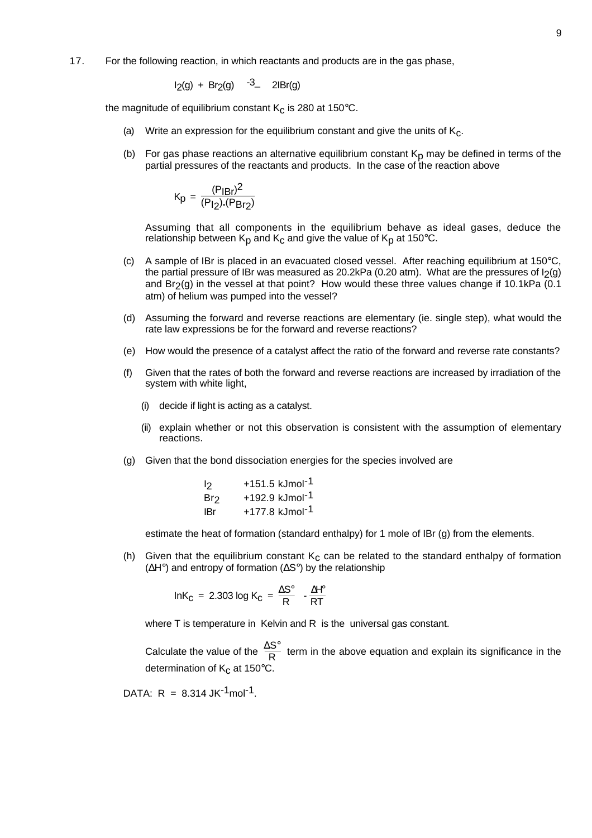17. For the following reaction, in which reactants and products are in the gas phase,

$$
I_2(g) + Br_2(g) \quad ^{-3} - 2lBr(g)
$$

the magnitude of equilibrium constant  $K<sub>c</sub>$  is 280 at 150 $^{\circ}$ C.

- (a) Write an expression for the equilibrium constant and give the units of  $K_c$ .
- (b) For gas phase reactions an alternative equilibrium constant  $K<sub>D</sub>$  may be defined in terms of the partial pressures of the reactants and products. In the case of the reaction above

$$
K_p = \frac{(P_{IBr})^2}{(P_{I2}).(P_{Br2})}
$$

Assuming that all components in the equilibrium behave as ideal gases, deduce the relationship between  $K_p$  and  $K_c$  and give the value of  $K_p$  at 150°C.

- (c) A sample of IBr is placed in an evacuated closed vessel. After reaching equilibrium at  $150^{\circ}$ C, the partial pressure of IBr was measured as 20.2kPa (0.20 atm). What are the pressures of  $I_2(g)$ and  $Br<sub>2</sub>(q)$  in the vessel at that point? How would these three values change if 10.1kPa (0.1 atm) of helium was pumped into the vessel?
- (d) Assuming the forward and reverse reactions are elementary (ie. single step), what would the rate law expressions be for the forward and reverse reactions?
- (e) How would the presence of a catalyst affect the ratio of the forward and reverse rate constants?
- (f) Given that the rates of both the forward and reverse reactions are increased by irradiation of the system with white light,
	- (i) decide if light is acting as a catalyst.
	- (ii) explain whether or not this observation is consistent with the assumption of elementary reactions.
- (g) Given that the bond dissociation energies for the species involved are

| 12  | +151.5 kJmol <sup>-1</sup> |
|-----|----------------------------|
| Br2 | +192.9 kJmol <sup>-1</sup> |
| IBr | +177.8 kJmol <sup>-1</sup> |

estimate the heat of formation (standard enthalpy) for 1 mole of IBr (g) from the elements.

(h) Given that the equilibrium constant  $K_c$  can be related to the standard enthalpy of formation (∆H°) and entropy of formation (∆S°) by the relationship

$$
InK_C = 2.303 \log K_C = \frac{\Delta S^\circ}{R} - \frac{\Delta H^\circ}{RT}
$$

where T is temperature in Kelvin and R is the universal gas constant.

Calculate the value of the  $\frac{\Delta S^{\circ}}{R}$  term in the above equation and explain its significance in the determination of  $K_C$  at 150 $\degree$ C

DATA:  $R = 8.314$  JK<sup>-1</sup>mol<sup>-1</sup>.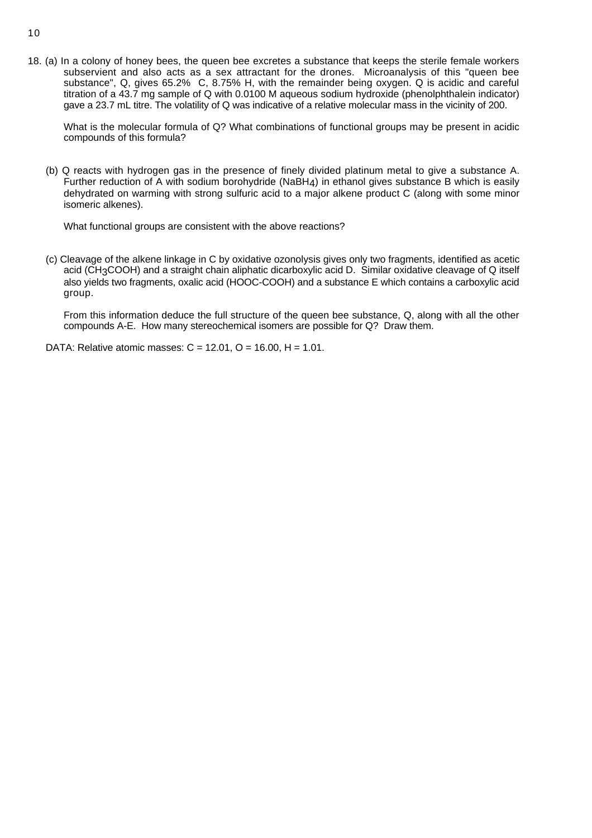18. (a) In a colony of honey bees, the queen bee excretes a substance that keeps the sterile female workers subservient and also acts as a sex attractant for the drones. Microanalysis of this "queen bee substance", Q, gives 65.2% C, 8.75% H, with the remainder being oxygen. Q is acidic and careful titration of a 43.7 mg sample of Q with 0.0100 M aqueous sodium hydroxide (phenolphthalein indicator) gave a 23.7 mL titre. The volatility of Q was indicative of a relative molecular mass in the vicinity of 200.

What is the molecular formula of Q? What combinations of functional groups may be present in acidic compounds of this formula?

(b) Q reacts with hydrogen gas in the presence of finely divided platinum metal to give a substance A. Further reduction of A with sodium borohydride (NaBH4) in ethanol gives substance B which is easily dehydrated on warming with strong sulfuric acid to a major alkene product C (along with some minor isomeric alkenes).

What functional groups are consistent with the above reactions?

(c) Cleavage of the alkene linkage in C by oxidative ozonolysis gives only two fragments, identified as acetic acid (CH3COOH) and a straight chain aliphatic dicarboxylic acid D. Similar oxidative cleavage of Q itself also yields two fragments, oxalic acid (HOOC-COOH) and a substance E which contains a carboxylic acid group.

From this information deduce the full structure of the queen bee substance, Q, along with all the other compounds A-E. How many stereochemical isomers are possible for Q? Draw them.

DATA: Relative atomic masses:  $C = 12.01$ ,  $O = 16.00$ ,  $H = 1.01$ .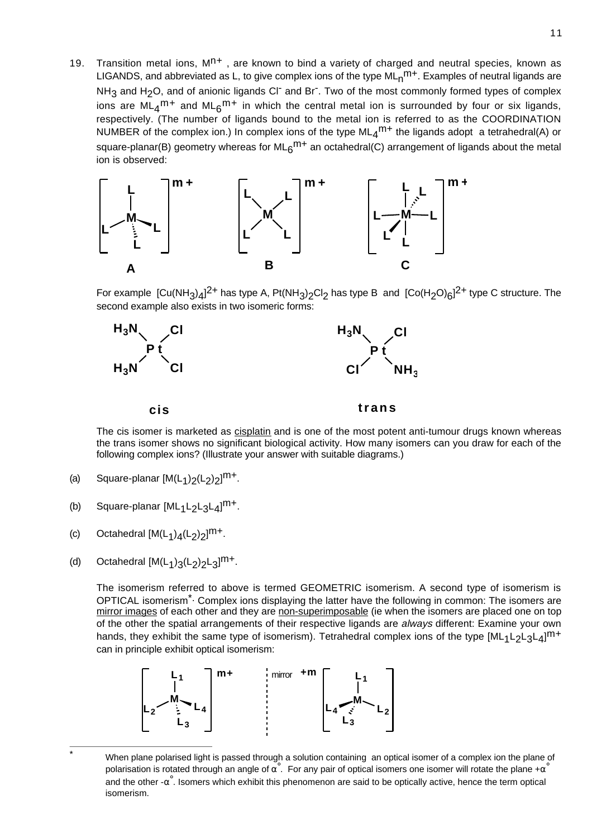19. Transition metal ions,  $M<sup>n+</sup>$ , are known to bind a variety of charged and neutral species, known as LIGANDS, and abbreviated as L, to give complex ions of the type  $ML_n^{m+}$ . Examples of neutral ligands are  $NH<sub>3</sub>$  and H<sub>2</sub>O, and of anionic ligands Cl<sup>-</sup> and Br<sup>-</sup>. Two of the most commonly formed types of complex ions are ML<sub>4</sub><sup>m+</sup> and ML<sub>6</sub><sup>m+</sup> in which the central metal ion is surrounded by four or six ligands, respectively. (The number of ligands bound to the metal ion is referred to as the COORDINATION NUMBER of the complex ion.) In complex ions of the type  $ML_4^{m+}$  the ligands adopt a tetrahedral(A) or square-planar(B) geometry whereas for ML<sub>6</sub><sup>m+</sup> an octahedral(C) arrangement of ligands about the metal ion is observed:



For example  $\rm [Cu(NH_3)_4]^{2+}$  has type A, Pt(NH<sub>3</sub>)<sub>2</sub>Cl<sub>2</sub> has type B and  $\rm [Co(H_2O)_6]^{2+}$  type C structure. The second example also exists in two isomeric forms:



The cis isomer is marketed as cisplatin and is one of the most potent anti-tumour drugs known whereas the trans isomer shows no significant biological activity. How many isomers can you draw for each of the following complex ions? (Illustrate your answer with suitable diagrams.)

- (a) Square-planar  $[M(L_1)_2(L_2)_2]^{m+}$ .
- (b) Square-planar  $[ML_1L_2L_3L_4]^{m+}$ .
- (c) Octahedral  $[M(L_1)_4(L_2)_2]^{m+}$ .
- (d) Octahedral  $[M(L_1)_3(L_2)_2L_3]^{m+}$ .

The isomerism referred to above is termed GEOMETRIC isomerism. A second type of isomerism is OPTICAL isomerism<sup>\*.</sup> Complex ions displaying the latter have the following in common: The isomers are mirror images of each other and they are non-superimposable (ie when the isomers are placed one on top of the other the spatial arrangements of their respective ligands are always different: Examine your own hands, they exhibit the same type of isomerism). Tetrahedral complex ions of the type  $[ML_1L_2L_3L_4]^{m+}$ can in principle exhibit optical isomerism:



When plane polarised light is passed through a solution containing an optical isomer of a complex ion the plane of polarisation is rotated through an angle of  $\alpha^{\circ}$ . For any pair of optical isomers one isomer will rotate the plane + $\alpha^{\circ}$ and the other  $-\alpha^{\degree}$ . Isomers which exhibit this phenomenon are said to be optically active, hence the term optical isomerism.